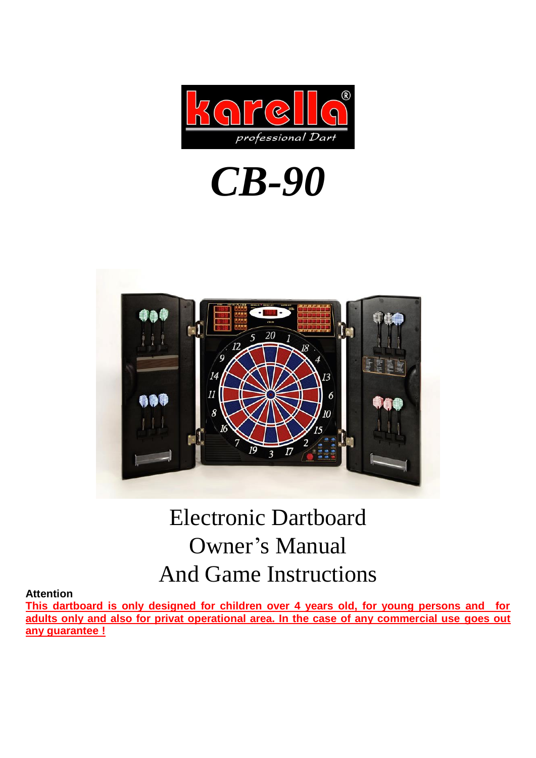

# *CB-90*



## Electronic Dartboard Owner's Manual And Game Instructions

#### **Attention**

**This dartboard is only designed for children over 4 years old, for young persons and for adults only and also for privat operational area. In the case of any commercial use goes out any guarantee !**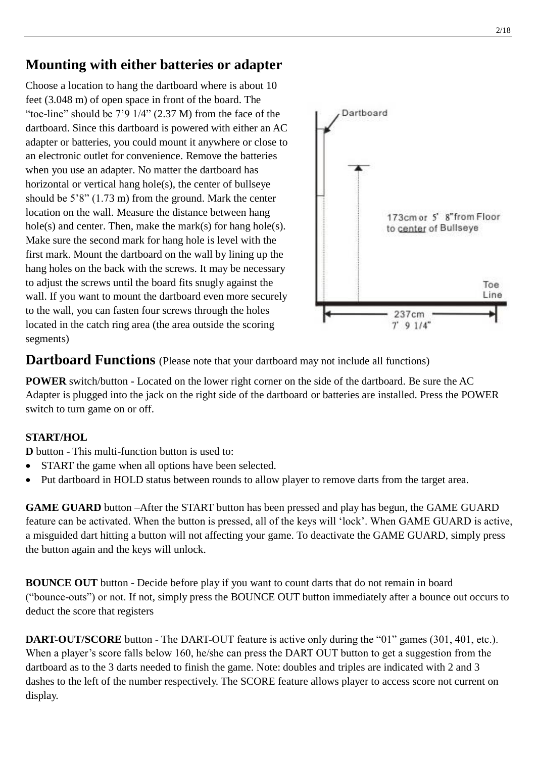## **Mounting with either batteries or adapter**

Choose a location to hang the dartboard where is about 10 feet (3.048 m) of open space in front of the board. The "toe-line" should be  $7'9\frac{1}{4}$ " (2.37 M) from the face of the dartboard. Since this dartboard is powered with either an AC adapter or batteries, you could mount it anywhere or close to an electronic outlet for convenience. Remove the batteries when you use an adapter. No matter the dartboard has horizontal or vertical hang hole(s), the center of bullseye should be 5'8" (1.73 m) from the ground. Mark the center location on the wall. Measure the distance between hang hole(s) and center. Then, make the mark(s) for hang hole(s). Make sure the second mark for hang hole is level with the first mark. Mount the dartboard on the wall by lining up the hang holes on the back with the screws. It may be necessary to adjust the screws until the board fits snugly against the wall. If you want to mount the dartboard even more securely to the wall, you can fasten four screws through the holes located in the catch ring area (the area outside the scoring segments)



**Dartboard Functions** (Please note that your dartboard may not include all functions)

**POWER** switch/button - Located on the lower right corner on the side of the dartboard. Be sure the AC Adapter is plugged into the jack on the right side of the dartboard or batteries are installed. Press the POWER switch to turn game on or off.

#### **START/HOL**

**D** button - This multi-function button is used to:

- START the game when all options have been selected.
- Put dartboard in HOLD status between rounds to allow player to remove darts from the target area.

**GAME GUARD** button –After the START button has been pressed and play has begun, the GAME GUARD feature can be activated. When the button is pressed, all of the keys will 'lock'. When GAME GUARD is active, a misguided dart hitting a button will not affecting your game. To deactivate the GAME GUARD, simply press the button again and the keys will unlock.

**BOUNCE OUT** button - Decide before play if you want to count darts that do not remain in board ("bounce-outs") or not. If not, simply press the BOUNCE OUT button immediately after a bounce out occurs to deduct the score that registers

**DART-OUT/SCORE** button - The DART-OUT feature is active only during the "01" games (301, 401, etc.). When a player's score falls below 160, he/she can press the DART OUT button to get a suggestion from the dartboard as to the 3 darts needed to finish the game. Note: doubles and triples are indicated with 2 and 3 dashes to the left of the number respectively. The SCORE feature allows player to access score not current on display.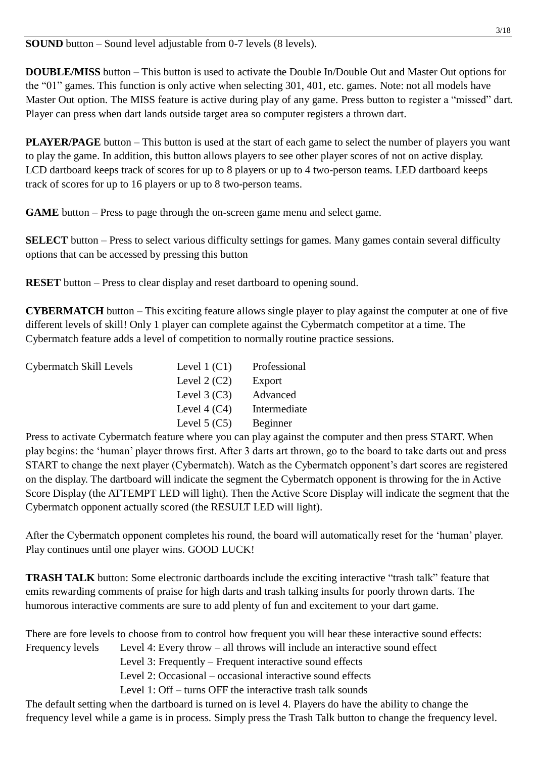**SOUND** button – Sound level adjustable from 0-7 levels (8 levels).

**DOUBLE/MISS** button – This button is used to activate the Double In/Double Out and Master Out options for the "01" games. This function is only active when selecting 301, 401, etc. games. Note: not all models have Master Out option. The MISS feature is active during play of any game. Press button to register a "missed" dart. Player can press when dart lands outside target area so computer registers a thrown dart.

**PLAYER/PAGE** button – This button is used at the start of each game to select the number of players you want to play the game. In addition, this button allows players to see other player scores of not on active display. LCD dartboard keeps track of scores for up to 8 players or up to 4 two-person teams. LED dartboard keeps track of scores for up to 16 players or up to 8 two-person teams.

**GAME** button – Press to page through the on-screen game menu and select game.

**SELECT** button – Press to select various difficulty settings for games. Many games contain several difficulty options that can be accessed by pressing this button

**RESET** button – Press to clear display and reset dartboard to opening sound.

**CYBERMATCH** button – This exciting feature allows single player to play against the computer at one of five different levels of skill! Only 1 player can complete against the Cybermatch competitor at a time. The Cybermatch feature adds a level of competition to normally routine practice sessions.

| Cybermatch Skill Levels | Level $1(C1)$  | Professional |
|-------------------------|----------------|--------------|
|                         | Level $2(C2)$  | Export       |
|                         | Level $3(C3)$  | Advanced     |
|                         | Level $4(C4)$  | Intermediate |
|                         | Level $5 (C5)$ | Beginner     |

Press to activate Cybermatch feature where you can play against the computer and then press START. When play begins: the 'human' player throws first. After 3 darts art thrown, go to the board to take darts out and press START to change the next player (Cybermatch). Watch as the Cybermatch opponent's dart scores are registered on the display. The dartboard will indicate the segment the Cybermatch opponent is throwing for the in Active Score Display (the ATTEMPT LED will light). Then the Active Score Display will indicate the segment that the Cybermatch opponent actually scored (the RESULT LED will light).

After the Cybermatch opponent completes his round, the board will automatically reset for the 'human' player. Play continues until one player wins. GOOD LUCK!

**TRASH TALK** button: Some electronic dartboards include the exciting interactive "trash talk" feature that emits rewarding comments of praise for high darts and trash talking insults for poorly thrown darts. The humorous interactive comments are sure to add plenty of fun and excitement to your dart game.

There are fore levels to choose from to control how frequent you will hear these interactive sound effects: Frequency levels Level 4: Every throw – all throws will include an interactive sound effect Level 3: Frequently – Frequent interactive sound effects Level 2: Occasional – occasional interactive sound effects Level 1: Off – turns OFF the interactive trash talk sounds

The default setting when the dartboard is turned on is level 4. Players do have the ability to change the frequency level while a game is in process. Simply press the Trash Talk button to change the frequency level.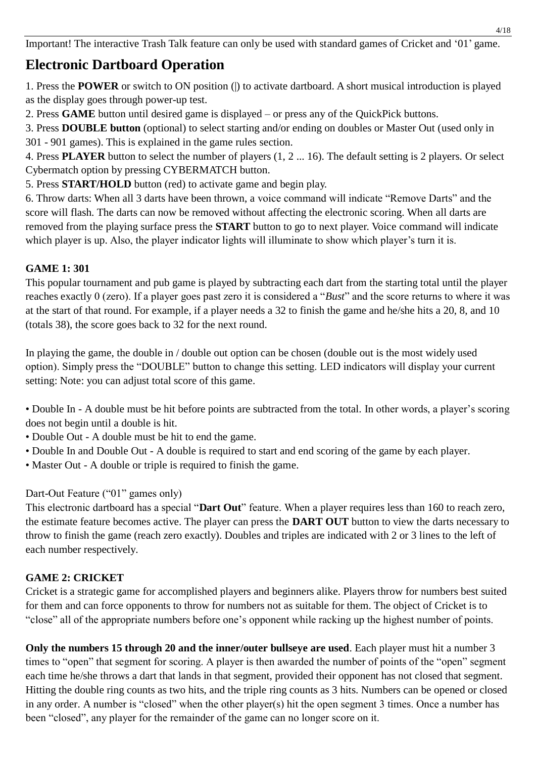Important! The interactive Trash Talk feature can only be used with standard games of Cricket and '01' game.

## **Electronic Dartboard Operation**

1. Press the **POWER** or switch to ON position (|) to activate dartboard. A short musical introduction is played as the display goes through power-up test.

2. Press **GAME** button until desired game is displayed – or press any of the QuickPick buttons.

3. Press **DOUBLE button** (optional) to select starting and/or ending on doubles or Master Out (used only in 301 - 901 games). This is explained in the game rules section.

4. Press **PLAYER** button to select the number of players (1, 2 ... 16). The default setting is 2 players. Or select Cybermatch option by pressing CYBERMATCH button.

5. Press **START/HOLD** button (red) to activate game and begin play.

6. Throw darts: When all 3 darts have been thrown, a voice command will indicate "Remove Darts" and the score will flash. The darts can now be removed without affecting the electronic scoring. When all darts are removed from the playing surface press the **START** button to go to next player. Voice command will indicate which player is up. Also, the player indicator lights will illuminate to show which player's turn it is.

#### **GAME 1: 301**

This popular tournament and pub game is played by subtracting each dart from the starting total until the player reaches exactly 0 (zero). If a player goes past zero it is considered a "*Bust*" and the score returns to where it was at the start of that round. For example, if a player needs a 32 to finish the game and he/she hits a 20, 8, and 10 (totals 38), the score goes back to 32 for the next round.

In playing the game, the double in / double out option can be chosen (double out is the most widely used option). Simply press the "DOUBLE" button to change this setting. LED indicators will display your current setting: Note: you can adjust total score of this game.

• Double In - A double must be hit before points are subtracted from the total. In other words, a player's scoring does not begin until a double is hit.

• Double Out - A double must be hit to end the game.

- Double In and Double Out A double is required to start and end scoring of the game by each player.
- Master Out A double or triple is required to finish the game.

#### Dart-Out Feature ("01" games only)

This electronic dartboard has a special "**Dart Out**" feature. When a player requires less than 160 to reach zero, the estimate feature becomes active. The player can press the **DART OUT** button to view the darts necessary to throw to finish the game (reach zero exactly). Doubles and triples are indicated with 2 or 3 lines to the left of each number respectively.

#### **GAME 2: CRICKET**

Cricket is a strategic game for accomplished players and beginners alike. Players throw for numbers best suited for them and can force opponents to throw for numbers not as suitable for them. The object of Cricket is to "close" all of the appropriate numbers before one's opponent while racking up the highest number of points.

**Only the numbers 15 through 20 and the inner/outer bullseye are used**. Each player must hit a number 3 times to "open" that segment for scoring. A player is then awarded the number of points of the "open" segment each time he/she throws a dart that lands in that segment, provided their opponent has not closed that segment. Hitting the double ring counts as two hits, and the triple ring counts as 3 hits. Numbers can be opened or closed in any order. A number is "closed" when the other player(s) hit the open segment 3 times. Once a number has been "closed", any player for the remainder of the game can no longer score on it.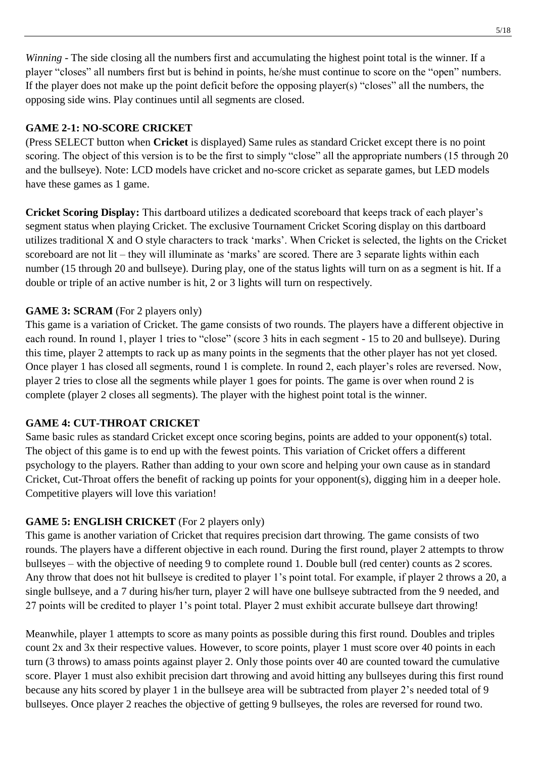*Winning* - The side closing all the numbers first and accumulating the highest point total is the winner. If a player "closes" all numbers first but is behind in points, he/she must continue to score on the "open" numbers. If the player does not make up the point deficit before the opposing player(s) "closes" all the numbers, the opposing side wins. Play continues until all segments are closed.

#### **GAME 2-1: NO-SCORE CRICKET**

(Press SELECT button when **Cricket** is displayed) Same rules as standard Cricket except there is no point scoring. The object of this version is to be the first to simply "close" all the appropriate numbers (15 through 20 and the bullseye). Note: LCD models have cricket and no-score cricket as separate games, but LED models have these games as 1 game.

**Cricket Scoring Display:** This dartboard utilizes a dedicated scoreboard that keeps track of each player's segment status when playing Cricket. The exclusive Tournament Cricket Scoring display on this dartboard utilizes traditional X and O style characters to track 'marks'. When Cricket is selected, the lights on the Cricket scoreboard are not lit – they will illuminate as 'marks' are scored. There are 3 separate lights within each number (15 through 20 and bullseye). During play, one of the status lights will turn on as a segment is hit. If a double or triple of an active number is hit, 2 or 3 lights will turn on respectively.

#### **GAME 3: SCRAM** (For 2 players only)

This game is a variation of Cricket. The game consists of two rounds. The players have a different objective in each round. In round 1, player 1 tries to "close" (score 3 hits in each segment - 15 to 20 and bullseye). During this time, player 2 attempts to rack up as many points in the segments that the other player has not yet closed. Once player 1 has closed all segments, round 1 is complete. In round 2, each player's roles are reversed. Now, player 2 tries to close all the segments while player 1 goes for points. The game is over when round 2 is complete (player 2 closes all segments). The player with the highest point total is the winner.

#### **GAME 4: CUT-THROAT CRICKET**

Same basic rules as standard Cricket except once scoring begins, points are added to your opponent(s) total. The object of this game is to end up with the fewest points. This variation of Cricket offers a different psychology to the players. Rather than adding to your own score and helping your own cause as in standard Cricket, Cut-Throat offers the benefit of racking up points for your opponent(s), digging him in a deeper hole. Competitive players will love this variation!

#### **GAME 5: ENGLISH CRICKET** (For 2 players only)

This game is another variation of Cricket that requires precision dart throwing. The game consists of two rounds. The players have a different objective in each round. During the first round, player 2 attempts to throw bullseyes – with the objective of needing 9 to complete round 1. Double bull (red center) counts as 2 scores. Any throw that does not hit bullseye is credited to player 1's point total. For example, if player 2 throws a 20, a single bullseye, and a 7 during his/her turn, player 2 will have one bullseye subtracted from the 9 needed, and 27 points will be credited to player 1's point total. Player 2 must exhibit accurate bullseye dart throwing!

Meanwhile, player 1 attempts to score as many points as possible during this first round. Doubles and triples count 2x and 3x their respective values. However, to score points, player 1 must score over 40 points in each turn (3 throws) to amass points against player 2. Only those points over 40 are counted toward the cumulative score. Player 1 must also exhibit precision dart throwing and avoid hitting any bullseyes during this first round because any hits scored by player 1 in the bullseye area will be subtracted from player 2's needed total of 9 bullseyes. Once player 2 reaches the objective of getting 9 bullseyes, the roles are reversed for round two.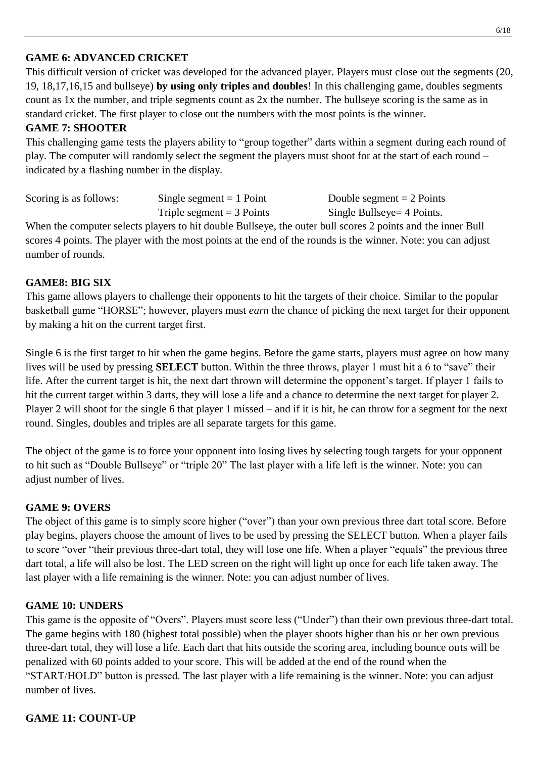#### **GAME 6: ADVANCED CRICKET**

This difficult version of cricket was developed for the advanced player. Players must close out the segments (20, 19, 18,17,16,15 and bullseye) **by using only triples and doubles**! In this challenging game, doubles segments count as 1x the number, and triple segments count as 2x the number. The bullseye scoring is the same as in standard cricket. The first player to close out the numbers with the most points is the winner.

#### **GAME 7: SHOOTER**

This challenging game tests the players ability to "group together" darts within a segment during each round of play. The computer will randomly select the segment the players must shoot for at the start of each round – indicated by a flashing number in the display.

| Scoring is as follows: | Single segment $= 1$ Point  | Double segment $= 2$ Points |
|------------------------|-----------------------------|-----------------------------|
|                        | Triple segment $=$ 3 Points | Single Bullseye = 4 Points. |

When the computer selects players to hit double Bullseye, the outer bull scores 2 points and the inner Bull scores 4 points. The player with the most points at the end of the rounds is the winner. Note: you can adjust number of rounds.

#### **GAME8: BIG SIX**

This game allows players to challenge their opponents to hit the targets of their choice. Similar to the popular basketball game "HORSE"; however, players must *earn* the chance of picking the next target for their opponent by making a hit on the current target first.

Single 6 is the first target to hit when the game begins. Before the game starts, players must agree on how many lives will be used by pressing **SELECT** button. Within the three throws, player 1 must hit a 6 to "save" their life. After the current target is hit, the next dart thrown will determine the opponent's target. If player 1 fails to hit the current target within 3 darts, they will lose a life and a chance to determine the next target for player 2. Player 2 will shoot for the single 6 that player 1 missed – and if it is hit, he can throw for a segment for the next round. Singles, doubles and triples are all separate targets for this game.

The object of the game is to force your opponent into losing lives by selecting tough targets for your opponent to hit such as "Double Bullseye" or "triple 20" The last player with a life left is the winner. Note: you can adjust number of lives.

#### **GAME 9: OVERS**

The object of this game is to simply score higher ("over") than your own previous three dart total score. Before play begins, players choose the amount of lives to be used by pressing the SELECT button. When a player fails to score "over "their previous three-dart total, they will lose one life. When a player "equals" the previous three dart total, a life will also be lost. The LED screen on the right will light up once for each life taken away. The last player with a life remaining is the winner. Note: you can adjust number of lives.

#### **GAME 10: UNDERS**

This game is the opposite of "Overs". Players must score less ("Under") than their own previous three-dart total. The game begins with 180 (highest total possible) when the player shoots higher than his or her own previous three-dart total, they will lose a life. Each dart that hits outside the scoring area, including bounce outs will be penalized with 60 points added to your score. This will be added at the end of the round when the "START/HOLD" button is pressed. The last player with a life remaining is the winner. Note: you can adjust number of lives.

#### **GAME 11: COUNT-UP**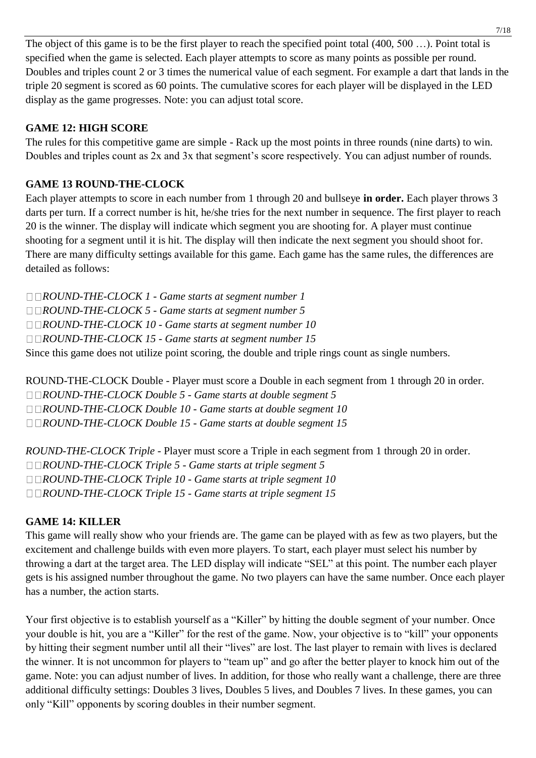The object of this game is to be the first player to reach the specified point total (400, 500 ...). Point total is specified when the game is selected. Each player attempts to score as many points as possible per round. Doubles and triples count 2 or 3 times the numerical value of each segment. For example a dart that lands in the triple 20 segment is scored as 60 points. The cumulative scores for each player will be displayed in the LED display as the game progresses. Note: you can adjust total score.

#### **GAME 12: HIGH SCORE**

The rules for this competitive game are simple - Rack up the most points in three rounds (nine darts) to win. Doubles and triples count as 2x and 3x that segment's score respectively. You can adjust number of rounds.

#### **GAME 13 ROUND-THE-CLOCK**

Each player attempts to score in each number from 1 through 20 and bullseye **in order.** Each player throws 3 darts per turn. If a correct number is hit, he/she tries for the next number in sequence. The first player to reach 20 is the winner. The display will indicate which segment you are shooting for. A player must continue shooting for a segment until it is hit. The display will then indicate the next segment you should shoot for. There are many difficulty settings available for this game. Each game has the same rules, the differences are detailed as follows:

*ROUND-THE-CLOCK 1 - Game starts at segment number 1 ROUND-THE-CLOCK 5 - Game starts at segment number 5 ROUND-THE-CLOCK 10 - Game starts at segment number 10 ROUND-THE-CLOCK 15 - Game starts at segment number 15* Since this game does not utilize point scoring, the double and triple rings count as single numbers.

ROUND-THE-CLOCK Double - Player must score a Double in each segment from 1 through 20 in order. *ROUND-THE-CLOCK Double 5 - Game starts at double segment 5 ROUND-THE-CLOCK Double 10 - Game starts at double segment 10 ROUND-THE-CLOCK Double 15 - Game starts at double segment 15*

*ROUND-THE-CLOCK Triple* - Player must score a Triple in each segment from 1 through 20 in order. *ROUND-THE-CLOCK Triple 5 - Game starts at triple segment 5 ROUND-THE-CLOCK Triple 10 - Game starts at triple segment 10 ROUND-THE-CLOCK Triple 15 - Game starts at triple segment 15*

#### **GAME 14: KILLER**

This game will really show who your friends are. The game can be played with as few as two players, but the excitement and challenge builds with even more players. To start, each player must select his number by throwing a dart at the target area. The LED display will indicate "SEL" at this point. The number each player gets is his assigned number throughout the game. No two players can have the same number. Once each player has a number, the action starts.

Your first objective is to establish yourself as a "Killer" by hitting the double segment of your number. Once your double is hit, you are a "Killer" for the rest of the game. Now, your objective is to "kill" your opponents by hitting their segment number until all their "lives" are lost. The last player to remain with lives is declared the winner. It is not uncommon for players to "team up" and go after the better player to knock him out of the game. Note: you can adjust number of lives. In addition, for those who really want a challenge, there are three additional difficulty settings: Doubles 3 lives, Doubles 5 lives, and Doubles 7 lives. In these games, you can only "Kill" opponents by scoring doubles in their number segment.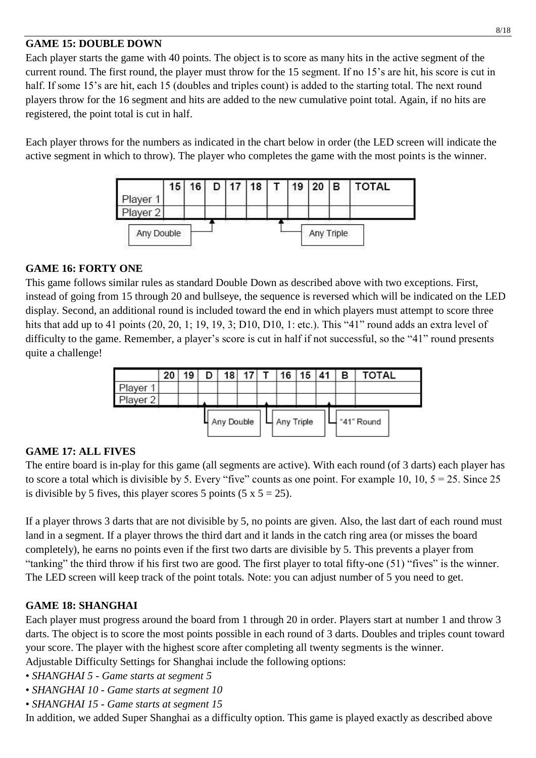#### **GAME 15: DOUBLE DOWN**

Each player starts the game with 40 points. The object is to score as many hits in the active segment of the current round. The first round, the player must throw for the 15 segment. If no 15's are hit, his score is cut in half. If some 15's are hit, each 15 (doubles and triples count) is added to the starting total. The next round players throw for the 16 segment and hits are added to the new cumulative point total. Again, if no hits are registered, the point total is cut in half.

Each player throws for the numbers as indicated in the chart below in order (the LED screen will indicate the active segment in which to throw). The player who completes the game with the most points is the winner.



#### **GAME 16: FORTY ONE**

This game follows similar rules as standard Double Down as described above with two exceptions. First, instead of going from 15 through 20 and bullseye, the sequence is reversed which will be indicated on the LED display. Second, an additional round is included toward the end in which players must attempt to score three hits that add up to 41 points (20, 20, 1; 19, 19, 3; D10, D10, 1: etc.). This "41" round adds an extra level of difficulty to the game. Remember, a player's score is cut in half if not successful, so the "41" round presents quite a challenge!



#### **GAME 17: ALL FIVES**

The entire board is in-play for this game (all segments are active). With each round (of 3 darts) each player has to score a total which is divisible by 5. Every "five" counts as one point. For example 10, 10,  $5 = 25$ . Since 25 is divisible by 5 fives, this player scores 5 points  $(5 \times 5 = 25)$ .

If a player throws 3 darts that are not divisible by 5, no points are given. Also, the last dart of each round must land in a segment. If a player throws the third dart and it lands in the catch ring area (or misses the board completely), he earns no points even if the first two darts are divisible by 5. This prevents a player from "tanking" the third throw if his first two are good. The first player to total fifty-one (51) "fives" is the winner. The LED screen will keep track of the point totals. Note: you can adjust number of 5 you need to get.

#### **GAME 18: SHANGHAI**

Each player must progress around the board from 1 through 20 in order. Players start at number 1 and throw 3 darts. The object is to score the most points possible in each round of 3 darts. Doubles and triples count toward your score. The player with the highest score after completing all twenty segments is the winner.

Adjustable Difficulty Settings for Shanghai include the following options:

- *SHANGHAI 5 - Game starts at segment 5*
- *SHANGHAI 10 - Game starts at segment 10*
- *SHANGHAI 15 - Game starts at segment 15*

In addition, we added Super Shanghai as a difficulty option. This game is played exactly as described above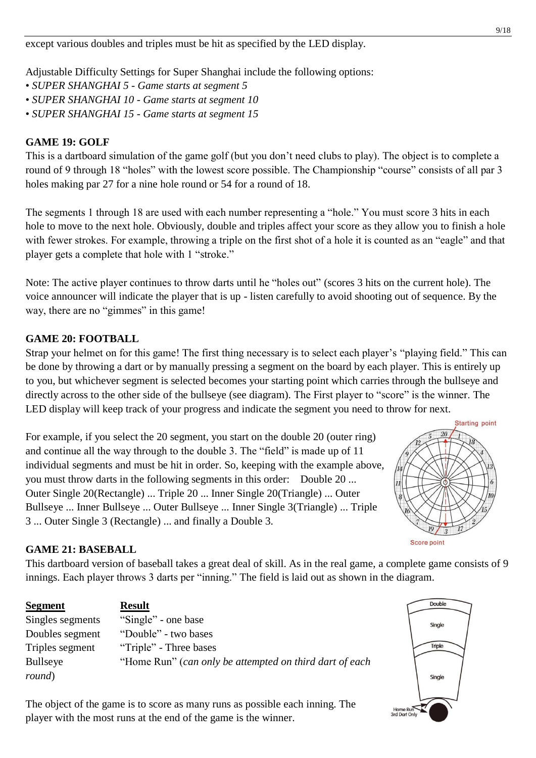except various doubles and triples must be hit as specified by the LED display.

Adjustable Difficulty Settings for Super Shanghai include the following options:

- *SUPER SHANGHAI 5 - Game starts at segment 5*
- *SUPER SHANGHAI 10 - Game starts at segment 10*
- *SUPER SHANGHAI 15 - Game starts at segment 15*

#### **GAME 19: GOLF**

This is a dartboard simulation of the game golf (but you don't need clubs to play). The object is to complete a round of 9 through 18 "holes" with the lowest score possible. The Championship "course" consists of all par 3 holes making par 27 for a nine hole round or 54 for a round of 18.

The segments 1 through 18 are used with each number representing a "hole." You must score 3 hits in each hole to move to the next hole. Obviously, double and triples affect your score as they allow you to finish a hole with fewer strokes. For example, throwing a triple on the first shot of a hole it is counted as an "eagle" and that player gets a complete that hole with 1 "stroke."

Note: The active player continues to throw darts until he "holes out" (scores 3 hits on the current hole). The voice announcer will indicate the player that is up - listen carefully to avoid shooting out of sequence. By the way, there are no "gimmes" in this game!

#### **GAME 20: FOOTBALL**

Strap your helmet on for this game! The first thing necessary is to select each player's "playing field." This can be done by throwing a dart or by manually pressing a segment on the board by each player. This is entirely up to you, but whichever segment is selected becomes your starting point which carries through the bullseye and directly across to the other side of the bullseye (see diagram). The First player to "score" is the winner. The LED display will keep track of your progress and indicate the segment you need to throw for next.

For example, if you select the 20 segment, you start on the double 20 (outer ring) and continue all the way through to the double 3. The "field" is made up of 11 individual segments and must be hit in order. So, keeping with the example above, you must throw darts in the following segments in this order: Double 20 ... Outer Single 20(Rectangle) ... Triple 20 ... Inner Single 20(Triangle) ... Outer Bullseye ... Inner Bullseye ... Outer Bullseye ... Inner Single 3(Triangle) ... Triple 3 ... Outer Single 3 (Rectangle) ... and finally a Double 3.



#### **GAME 21: BASEBALL**

This dartboard version of baseball takes a great deal of skill. As in the real game, a complete game consists of 9 innings. Each player throws 3 darts per "inning." The field is laid out as shown in the diagram.

| <b>Segment</b>   | <b>Result</b>                                           |
|------------------|---------------------------------------------------------|
| Singles segments | "Single" - one base                                     |
| Doubles segment  | "Double" - two bases                                    |
| Triples segment  | "Triple" - Three bases                                  |
| <b>Bullseye</b>  | "Home Run" (can only be attempted on third dart of each |
| round)           |                                                         |

The object of the game is to score as many runs as possible each inning. The player with the most runs at the end of the game is the winner.

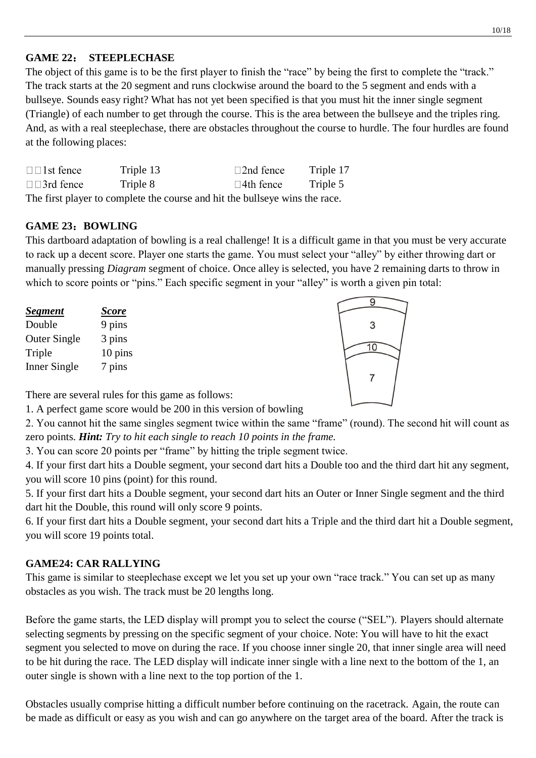#### 10/18

#### **GAME 22**: **STEEPLECHASE**

The object of this game is to be the first player to finish the "race" by being the first to complete the "track." The track starts at the 20 segment and runs clockwise around the board to the 5 segment and ends with a bullseye. Sounds easy right? What has not yet been specified is that you must hit the inner single segment (Triangle) of each number to get through the course. This is the area between the bullseye and the triples ring. And, as with a real steeplechase, there are obstacles throughout the course to hurdle. The four hurdles are found at the following places:

| $\Box$ 1st fence                                                            | Triple 13 | $\Box$ 2nd fence    | Triple 17 |
|-----------------------------------------------------------------------------|-----------|---------------------|-----------|
| $\square$ 3rd fence                                                         | Triple 8  | $\square$ 4th fence | Triple 5  |
| The first player to complete the course and hit the bullseye wins the race. |           |                     |           |

#### **GAME 23**:**BOWLING**

This dartboard adaptation of bowling is a real challenge! It is a difficult game in that you must be very accurate to rack up a decent score. Player one starts the game. You must select your "alley" by either throwing dart or manually pressing *Diagram* segment of choice. Once alley is selected, you have 2 remaining darts to throw in which to score points or "pins." Each specific segment in your "alley" is worth a given pin total:

| <b>Segment</b>      | <u>Score</u> |
|---------------------|--------------|
| Double              | 9 pins       |
| <b>Outer Single</b> | 3 pins       |
| Triple              | 10 pins      |
| Inner Single        | 7 pins       |



There are several rules for this game as follows:

1. A perfect game score would be 200 in this version of bowling

2. You cannot hit the same singles segment twice within the same "frame" (round). The second hit will count as zero points. *Hint: Try to hit each single to reach 10 points in the frame.*

3. You can score 20 points per "frame" by hitting the triple segment twice.

4. If your first dart hits a Double segment, your second dart hits a Double too and the third dart hit any segment, you will score 10 pins (point) for this round.

5. If your first dart hits a Double segment, your second dart hits an Outer or Inner Single segment and the third dart hit the Double, this round will only score 9 points.

6. If your first dart hits a Double segment, your second dart hits a Triple and the third dart hit a Double segment, you will score 19 points total.

#### **GAME24: CAR RALLYING**

This game is similar to steeplechase except we let you set up your own "race track." You can set up as many obstacles as you wish. The track must be 20 lengths long.

Before the game starts, the LED display will prompt you to select the course ("SEL"). Players should alternate selecting segments by pressing on the specific segment of your choice. Note: You will have to hit the exact segment you selected to move on during the race. If you choose inner single 20, that inner single area will need to be hit during the race. The LED display will indicate inner single with a line next to the bottom of the 1, an outer single is shown with a line next to the top portion of the 1.

Obstacles usually comprise hitting a difficult number before continuing on the racetrack. Again, the route can be made as difficult or easy as you wish and can go anywhere on the target area of the board. After the track is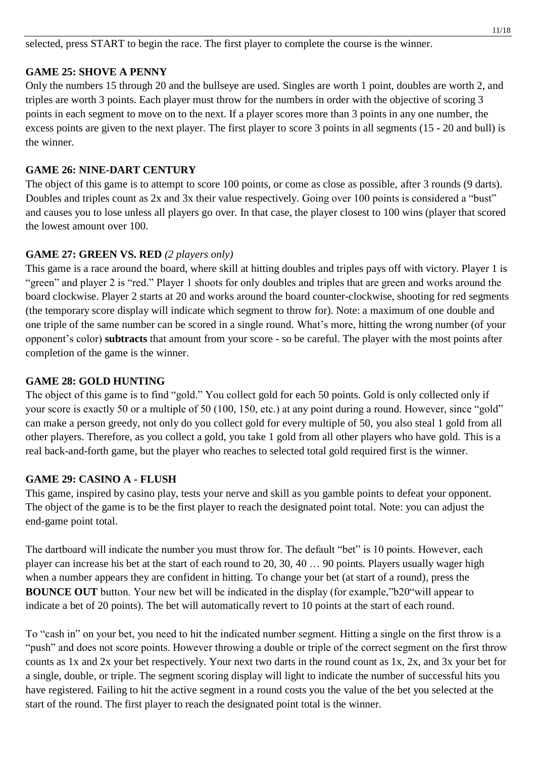selected, press START to begin the race. The first player to complete the course is the winner.

#### **GAME 25: SHOVE A PENNY**

Only the numbers 15 through 20 and the bullseye are used. Singles are worth 1 point, doubles are worth 2, and triples are worth 3 points. Each player must throw for the numbers in order with the objective of scoring 3 points in each segment to move on to the next. If a player scores more than 3 points in any one number, the excess points are given to the next player. The first player to score 3 points in all segments (15 - 20 and bull) is the winner.

#### **GAME 26: NINE-DART CENTURY**

The object of this game is to attempt to score 100 points, or come as close as possible, after 3 rounds (9 darts). Doubles and triples count as 2x and 3x their value respectively. Going over 100 points is considered a "bust" and causes you to lose unless all players go over. In that case, the player closest to 100 wins (player that scored the lowest amount over 100.

#### **GAME 27: GREEN VS. RED** *(2 players only)*

This game is a race around the board, where skill at hitting doubles and triples pays off with victory. Player 1 is "green" and player 2 is "red." Player 1 shoots for only doubles and triples that are green and works around the board clockwise. Player 2 starts at 20 and works around the board counter-clockwise, shooting for red segments (the temporary score display will indicate which segment to throw for). Note: a maximum of one double and one triple of the same number can be scored in a single round. What's more, hitting the wrong number (of your opponent's color) **subtracts** that amount from your score - so be careful. The player with the most points after completion of the game is the winner.

#### **GAME 28: GOLD HUNTING**

The object of this game is to find "gold." You collect gold for each 50 points. Gold is only collected only if your score is exactly 50 or a multiple of 50 (100, 150, etc.) at any point during a round. However, since "gold" can make a person greedy, not only do you collect gold for every multiple of 50, you also steal 1 gold from all other players. Therefore, as you collect a gold, you take 1 gold from all other players who have gold. This is a real back-and-forth game, but the player who reaches to selected total gold required first is the winner.

#### **GAME 29: CASINO A - FLUSH**

This game, inspired by casino play, tests your nerve and skill as you gamble points to defeat your opponent. The object of the game is to be the first player to reach the designated point total. Note: you can adjust the end-game point total.

The dartboard will indicate the number you must throw for. The default "bet" is 10 points. However, each player can increase his bet at the start of each round to 20, 30, 40 … 90 points. Players usually wager high when a number appears they are confident in hitting. To change your bet (at start of a round), press the **BOUNCE OUT** button. Your new bet will be indicated in the display (for example,"b20"will appear to indicate a bet of 20 points). The bet will automatically revert to 10 points at the start of each round.

To "cash in" on your bet, you need to hit the indicated number segment. Hitting a single on the first throw is a "push" and does not score points. However throwing a double or triple of the correct segment on the first throw counts as 1x and 2x your bet respectively. Your next two darts in the round count as 1x, 2x, and 3x your bet for a single, double, or triple. The segment scoring display will light to indicate the number of successful hits you have registered. Failing to hit the active segment in a round costs you the value of the bet you selected at the start of the round. The first player to reach the designated point total is the winner.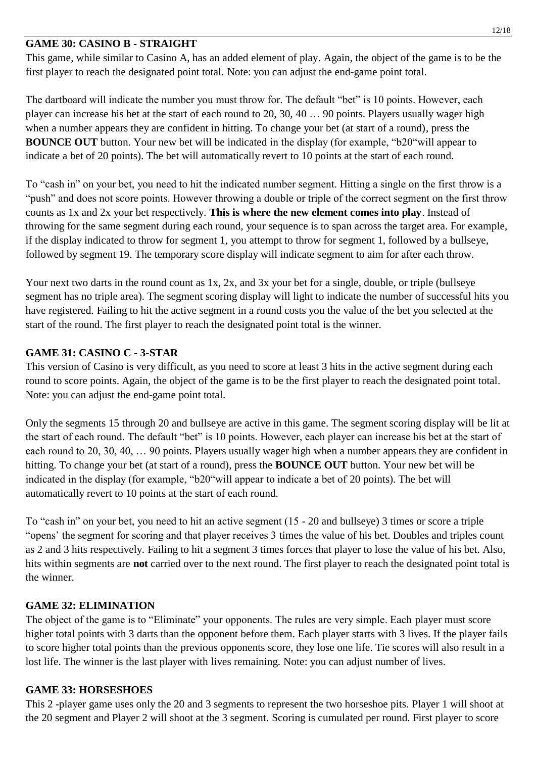#### **GAME 30: CASINO B - STRAIGHT**

This game, while similar to Casino A, has an added element of play. Again, the object of the game is to be the first player to reach the designated point total. Note: you can adjust the end-game point total.

The dartboard will indicate the number you must throw for. The default "bet" is 10 points. However, each player can increase his bet at the start of each round to 20, 30, 40 … 90 points. Players usually wager high when a number appears they are confident in hitting. To change your bet (at start of a round), press the **BOUNCE OUT** button. Your new bet will be indicated in the display (for example, "b20"will appear to indicate a bet of 20 points). The bet will automatically revert to 10 points at the start of each round.

To "cash in" on your bet, you need to hit the indicated number segment. Hitting a single on the first throw is a "push" and does not score points. However throwing a double or triple of the correct segment on the first throw counts as 1x and 2x your bet respectively. **This is where the new element comes into play**. Instead of throwing for the same segment during each round, your sequence is to span across the target area. For example, if the display indicated to throw for segment 1, you attempt to throw for segment 1, followed by a bullseye, followed by segment 19. The temporary score display will indicate segment to aim for after each throw.

Your next two darts in the round count as 1x, 2x, and 3x your bet for a single, double, or triple (bullseye segment has no triple area). The segment scoring display will light to indicate the number of successful hits you have registered. Failing to hit the active segment in a round costs you the value of the bet you selected at the start of the round. The first player to reach the designated point total is the winner.

#### **GAME 31: CASINO C - 3-STAR**

This version of Casino is very difficult, as you need to score at least 3 hits in the active segment during each round to score points. Again, the object of the game is to be the first player to reach the designated point total. Note: you can adjust the end-game point total.

Only the segments 15 through 20 and bullseye are active in this game. The segment scoring display will be lit at the start of each round. The default "bet" is 10 points. However, each player can increase his bet at the start of each round to 20, 30, 40, … 90 points. Players usually wager high when a number appears they are confident in hitting. To change your bet (at start of a round), press the **BOUNCE OUT** button. Your new bet will be indicated in the display (for example, "b20"will appear to indicate a bet of 20 points). The bet will automatically revert to 10 points at the start of each round.

To "cash in" on your bet, you need to hit an active segment (15 - 20 and bullseye) 3 times or score a triple "opens' the segment for scoring and that player receives 3 times the value of his bet. Doubles and triples count as 2 and 3 hits respectively. Failing to hit a segment 3 times forces that player to lose the value of his bet. Also, hits within segments are **not** carried over to the next round. The first player to reach the designated point total is the winner.

#### **GAME 32: ELIMINATION**

The object of the game is to "Eliminate" your opponents. The rules are very simple. Each player must score higher total points with 3 darts than the opponent before them. Each player starts with 3 lives. If the player fails to score higher total points than the previous opponents score, they lose one life. Tie scores will also result in a lost life. The winner is the last player with lives remaining. Note: you can adjust number of lives.

#### **GAME 33: HORSESHOES**

This 2 -player game uses only the 20 and 3 segments to represent the two horseshoe pits. Player 1 will shoot at the 20 segment and Player 2 will shoot at the 3 segment. Scoring is cumulated per round. First player to score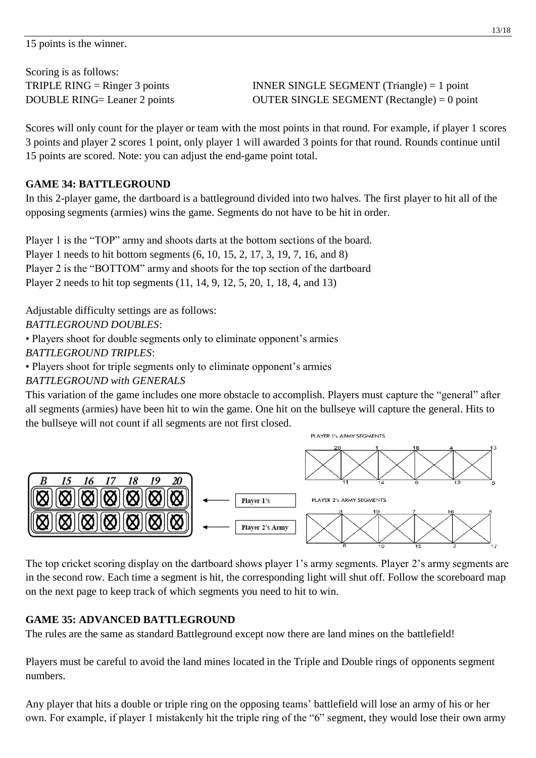Scoring is as follows:

TRIPLE RING = Ringer 3 points INNER SINGLE SEGMENT (Triangle) = 1 point DOUBLE RING= Leaner 2 points OUTER SINGLE SEGMENT (Rectangle) = 0 point

Scores will only count for the player or team with the most points in that round. For example, if player 1 scores 3 points and player 2 scores 1 point, only player 1 will awarded 3 points for that round. Rounds continue until 15 points are scored. Note: you can adjust the end-game point total.

#### **GAME 34: BATTLEGROUND**

In this 2-player game, the dartboard is a battleground divided into two halves. The first player to hit all of the opposing segments (armies) wins the game. Segments do not have to be hit in order.

Player 1 is the "TOP" army and shoots darts at the bottom sections of the board. Player 1 needs to hit bottom segments (6, 10, 15, 2, 17, 3, 19, 7, 16, and 8) Player 2 is the "BOTTOM" army and shoots for the top section of the dartboard Player 2 needs to hit top segments (11, 14, 9, 12, 5, 20, 1, 18, 4, and 13)

Adjustable difficulty settings are as follows: *BATTLEGROUND DOUBLES*:

• Players shoot for double segments only to eliminate opponent's armies *BATTLEGROUND TRIPLES*:

• Players shoot for triple segments only to eliminate opponent's armies

*BATTLEGROUND with GENERALS*

This variation of the game includes one more obstacle to accomplish. Players must capture the "general" after all segments (armies) have been hit to win the game. One hit on the bullseye will capture the general. Hits to the bullseye will not count if all segments are not first closed.



The top cricket scoring display on the dartboard shows player 1's army segments. Player 2's army segments are in the second row. Each time a segment is hit, the corresponding light will shut off. Follow the scoreboard map on the next page to keep track of which segments you need to hit to win.

#### **GAME 35: ADVANCED BATTLEGROUND**

The rules are the same as standard Battleground except now there are land mines on the battlefield!

Players must be careful to avoid the land mines located in the Triple and Double rings of opponents segment numbers.

Any player that hits a double or triple ring on the opposing teams' battlefield will lose an army of his or her own. For example, if player 1 mistakenly hit the triple ring of the "6" segment, they would lose their own army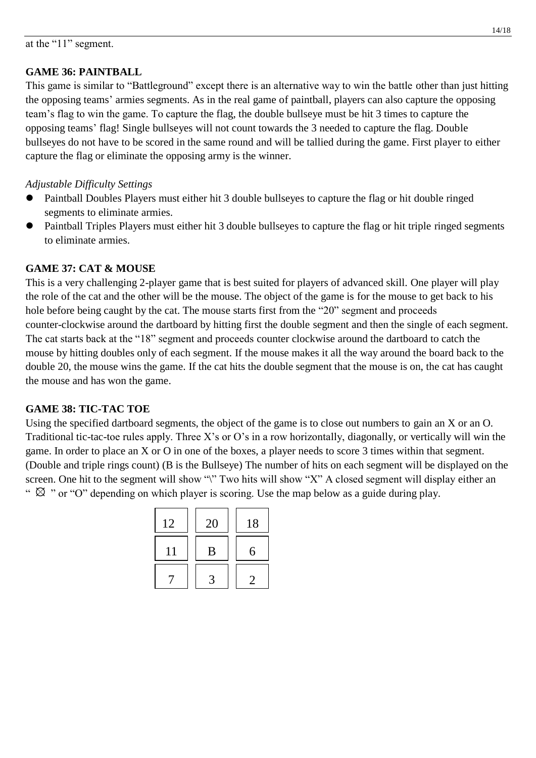#### **GAME 36: PAINTBALL**

This game is similar to "Battleground" except there is an alternative way to win the battle other than just hitting the opposing teams' armies segments. As in the real game of paintball, players can also capture the opposing team's flag to win the game. To capture the flag, the double bullseye must be hit 3 times to capture the opposing teams' flag! Single bullseyes will not count towards the 3 needed to capture the flag. Double bullseyes do not have to be scored in the same round and will be tallied during the game. First player to either capture the flag or eliminate the opposing army is the winner.

#### *Adjustable Difficulty Settings*

- Paintball Doubles Players must either hit 3 double bullseyes to capture the flag or hit double ringed segments to eliminate armies.
- Paintball Triples Players must either hit 3 double bullseyes to capture the flag or hit triple ringed segments to eliminate armies.

#### **GAME 37: CAT & MOUSE**

This is a very challenging 2-player game that is best suited for players of advanced skill. One player will play the role of the cat and the other will be the mouse. The object of the game is for the mouse to get back to his hole before being caught by the cat. The mouse starts first from the "20" segment and proceeds counter-clockwise around the dartboard by hitting first the double segment and then the single of each segment. The cat starts back at the "18" segment and proceeds counter clockwise around the dartboard to catch the mouse by hitting doubles only of each segment. If the mouse makes it all the way around the board back to the double 20, the mouse wins the game. If the cat hits the double segment that the mouse is on, the cat has caught the mouse and has won the game.

#### **GAME 38: TIC-TAC TOE**

Using the specified dartboard segments, the object of the game is to close out numbers to gain an X or an O. Traditional tic-tac-toe rules apply. Three X's or O's in a row horizontally, diagonally, or vertically will win the game. In order to place an X or O in one of the boxes, a player needs to score 3 times within that segment. (Double and triple rings count) (B is the Bullseye) The number of hits on each segment will be displayed on the screen. One hit to the segment will show "\" Two hits will show "X" A closed segment will display either an "  $\otimes$  " or "O" depending on which player is scoring. Use the map below as a guide during play.

| 12 | 20 | 18 |
|----|----|----|
| 11 | B  | 6  |
|    |    |    |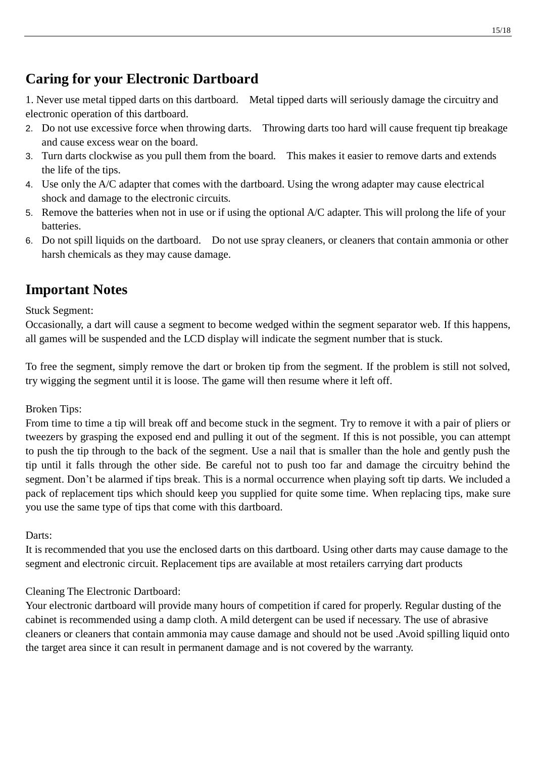## **Caring for your Electronic Dartboard**

1. Never use metal tipped darts on this dartboard. Metal tipped darts will seriously damage the circuitry and electronic operation of this dartboard.

- 2. Do not use excessive force when throwing darts. Throwing darts too hard will cause frequent tip breakage and cause excess wear on the board.
- 3. Turn darts clockwise as you pull them from the board. This makes it easier to remove darts and extends the life of the tips.
- 4. Use only the A/C adapter that comes with the dartboard. Using the wrong adapter may cause electrical shock and damage to the electronic circuits.
- 5. Remove the batteries when not in use or if using the optional A/C adapter. This will prolong the life of your batteries.
- 6. Do not spill liquids on the dartboard. Do not use spray cleaners, or cleaners that contain ammonia or other harsh chemicals as they may cause damage.

### **Important Notes**

Stuck Segment:

Occasionally, a dart will cause a segment to become wedged within the segment separator web. If this happens, all games will be suspended and the LCD display will indicate the segment number that is stuck.

To free the segment, simply remove the dart or broken tip from the segment. If the problem is still not solved, try wigging the segment until it is loose. The game will then resume where it left off.

Broken Tips:

From time to time a tip will break off and become stuck in the segment. Try to remove it with a pair of pliers or tweezers by grasping the exposed end and pulling it out of the segment. If this is not possible, you can attempt to push the tip through to the back of the segment. Use a nail that is smaller than the hole and gently push the tip until it falls through the other side. Be careful not to push too far and damage the circuitry behind the segment. Don't be alarmed if tips break. This is a normal occurrence when playing soft tip darts. We included a pack of replacement tips which should keep you supplied for quite some time. When replacing tips, make sure you use the same type of tips that come with this dartboard.

Darts:

It is recommended that you use the enclosed darts on this dartboard. Using other darts may cause damage to the segment and electronic circuit. Replacement tips are available at most retailers carrying dart products

#### Cleaning The Electronic Dartboard:

Your electronic dartboard will provide many hours of competition if cared for properly. Regular dusting of the cabinet is recommended using a damp cloth. A mild detergent can be used if necessary. The use of abrasive cleaners or cleaners that contain ammonia may cause damage and should not be used .Avoid spilling liquid onto the target area since it can result in permanent damage and is not covered by the warranty.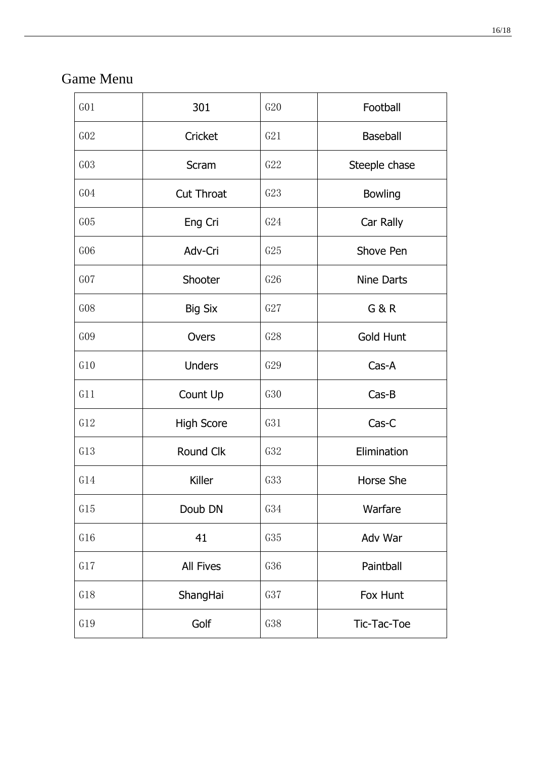## Game Menu

| G <sub>01</sub> | 301               | G20 | Football          |
|-----------------|-------------------|-----|-------------------|
| GO2             | Cricket           | G21 | <b>Baseball</b>   |
| GO3             | Scram             | G22 | Steeple chase     |
| G <sub>04</sub> | <b>Cut Throat</b> | G23 | <b>Bowling</b>    |
| G05             | Eng Cri           | G24 | Car Rally         |
| G06             | Adv-Cri           | G25 | Shove Pen         |
| G07             | Shooter           | G26 | <b>Nine Darts</b> |
| G08             | <b>Big Six</b>    | G27 | <b>G&amp;R</b>    |
| GO9             | Overs             | G28 | <b>Gold Hunt</b>  |
| G10             | <b>Unders</b>     | G29 | Cas-A             |
| G11             | Count Up          | G30 | $Cas-B$           |
| G12             | <b>High Score</b> | G31 | Cas-C             |
| G13             | Round Clk         | G32 | Elimination       |
| G14             | Killer            | G33 | Horse She         |
| G15             | Doub DN           | G34 | Warfare           |
| G16             | 41                | G35 | Adv War           |
| G17             | All Fives         | G36 | Paintball         |
| G18             | ShangHai          | G37 | Fox Hunt          |
| G19             | Golf              | G38 | Tic-Tac-Toe       |